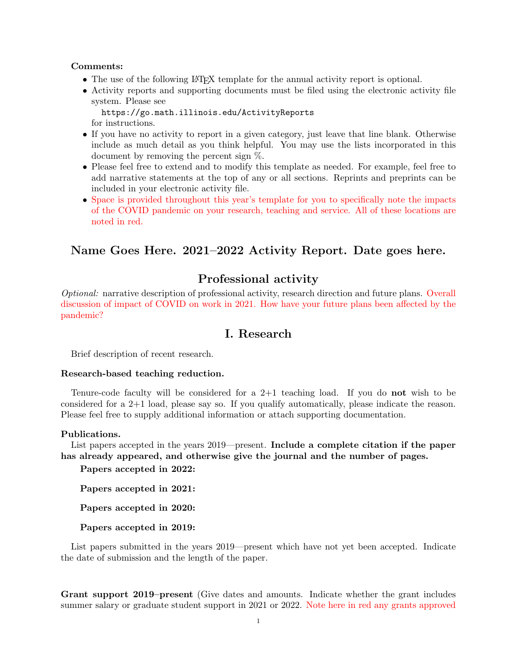## Comments:

- The use of the following LAT<sub>EX</sub> template for the annual activity report is optional.
- Activity reports and supporting documents must be filed using the electronic activity file system. Please see

https://go.math.illinois.edu/ActivityReports for instructions.

- If you have no activity to report in a given category, just leave that line blank. Otherwise include as much detail as you think helpful. You may use the lists incorporated in this document by removing the percent sign %.
- Please feel free to extend and to modify this template as needed. For example, feel free to add narrative statements at the top of any or all sections. Reprints and preprints can be included in your electronic activity file.
- Space is provided throughout this year's template for you to specifically note the impacts of the COVID pandemic on your research, teaching and service. All of these locations are noted in red.

# Name Goes Here. 2021–2022 Activity Report. Date goes here.

# Professional activity

Optional: narrative description of professional activity, research direction and future plans. Overall discussion of impact of COVID on work in 2021. How have your future plans been affected by the pandemic?

# I. Research

Brief description of recent research.

## Research-based teaching reduction.

Tenure-code faculty will be considered for a  $2+1$  teaching load. If you do not wish to be considered for a 2+1 load, please say so. If you qualify automatically, please indicate the reason. Please feel free to supply additional information or attach supporting documentation.

#### Publications.

List papers accepted in the years 2019—present. Include a complete citation if the paper has already appeared, and otherwise give the journal and the number of pages.

Papers accepted in 2022:

Papers accepted in 2021:

Papers accepted in 2020:

Papers accepted in 2019:

List papers submitted in the years 2019—present which have not yet been accepted. Indicate the date of submission and the length of the paper.

Grant support 2019–present (Give dates and amounts. Indicate whether the grant includes summer salary or graduate student support in 2021 or 2022. Note here in red any grants approved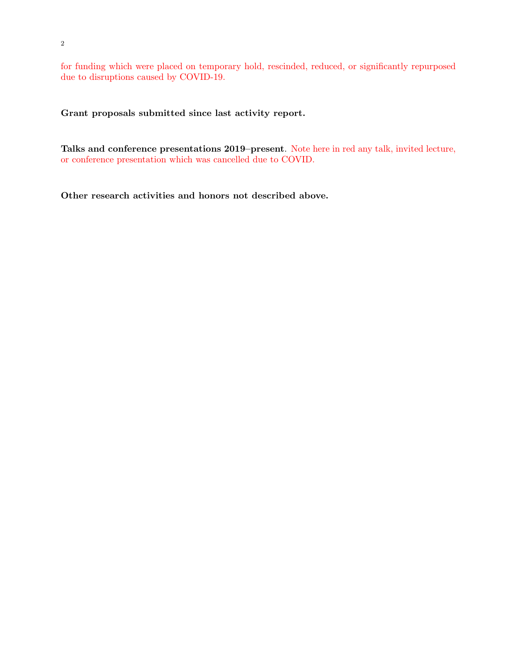for funding which were placed on temporary hold, rescinded, reduced, or significantly repurposed due to disruptions caused by COVID-19.

Grant proposals submitted since last activity report.

Talks and conference presentations 2019–present. Note here in red any talk, invited lecture, or conference presentation which was cancelled due to COVID.

Other research activities and honors not described above.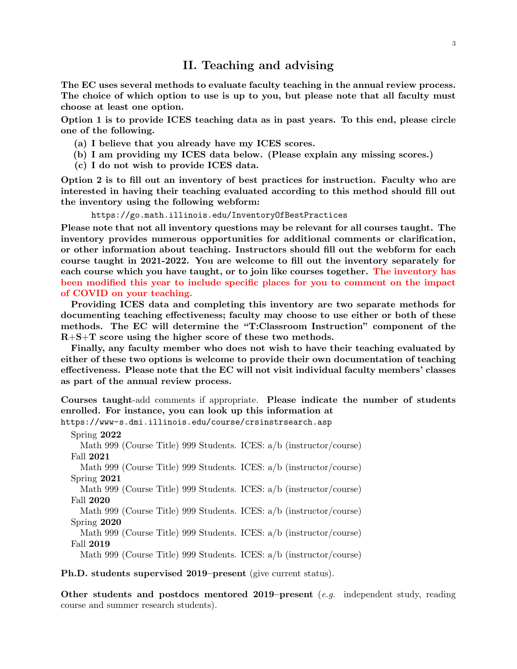## II. Teaching and advising

The EC uses several methods to evaluate faculty teaching in the annual review process. The choice of which option to use is up to you, but please note that all faculty must choose at least one option.

Option 1 is to provide ICES teaching data as in past years. To this end, please circle one of the following.

- (a) I believe that you already have my ICES scores.
- (b) I am providing my ICES data below. (Please explain any missing scores.)
- (c) I do not wish to provide ICES data.

Option 2 is to fill out an inventory of best practices for instruction. Faculty who are interested in having their teaching evaluated according to this method should fill out the inventory using the following webform:

https://go.math.illinois.edu/InventoryOfBestPractices

Please note that not all inventory questions may be relevant for all courses taught. The inventory provides numerous opportunities for additional comments or clarification, or other information about teaching. Instructors should fill out the webform for each course taught in 2021-2022. You are welcome to fill out the inventory separately for each course which you have taught, or to join like courses together. The inventory has been modified this year to include specific places for you to comment on the impact of COVID on your teaching.

Providing ICES data and completing this inventory are two separate methods for documenting teaching effectiveness; faculty may choose to use either or both of these methods. The EC will determine the "T:Classroom Instruction" component of the R+S+T score using the higher score of these two methods.

Finally, any faculty member who does not wish to have their teaching evaluated by either of these two options is welcome to provide their own documentation of teaching effectiveness. Please note that the EC will not visit individual faculty members' classes as part of the annual review process.

Courses taught-add comments if appropriate. Please indicate the number of students enrolled. For instance, you can look up this information at

https://www-s.dmi.illinois.edu/course/crsinstrsearch.asp

Spring 2022 Math 999 (Course Title) 999 Students. ICES: a/b (instructor/course) Fall 2021 Math 999 (Course Title) 999 Students. ICES: a/b (instructor/course) Spring 2021 Math 999 (Course Title) 999 Students. ICES: a/b (instructor/course) Fall 2020

Math 999 (Course Title) 999 Students. ICES: a/b (instructor/course) Spring 2020

Math 999 (Course Title) 999 Students. ICES: a/b (instructor/course) Fall 2019

Math 999 (Course Title) 999 Students. ICES: a/b (instructor/course)

Ph.D. students supervised 2019–present (give current status).

Other students and postdocs mentored 2019–present (e.g. independent study, reading course and summer research students).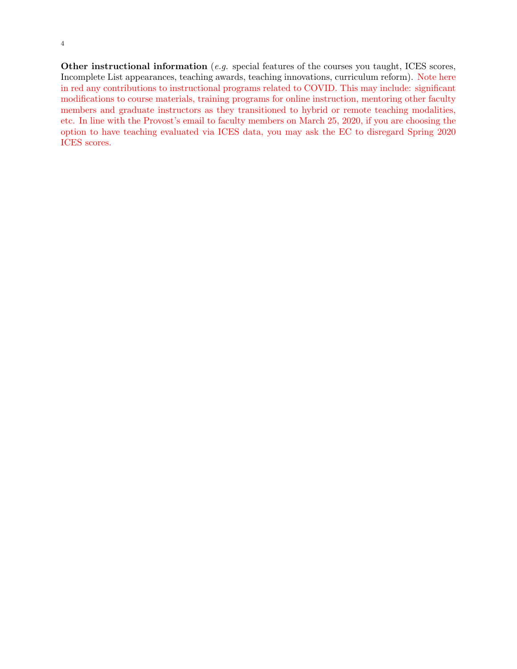Other instructional information (*e.g.* special features of the courses you taught, ICES scores, Incomplete List appearances, teaching awards, teaching innovations, curriculum reform). Note here in red any contributions to instructional programs related to COVID. This may include: significant modifications to course materials, training programs for online instruction, mentoring other faculty members and graduate instructors as they transitioned to hybrid or remote teaching modalities, etc. In line with the Provost's email to faculty members on March 25, 2020, if you are choosing the option to have teaching evaluated via ICES data, you may ask the EC to disregard Spring 2020 ICES scores.